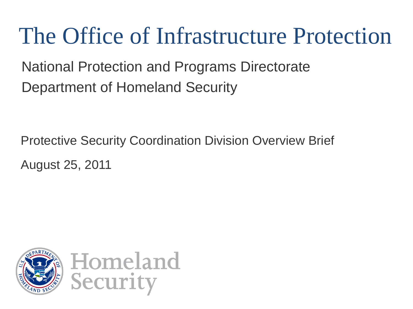## The Office of Infrastructure Protection

National Protection and Programs Directorate Department of Homeland Security

Protective Security Coordination Division Overview Brief August 25, 2011

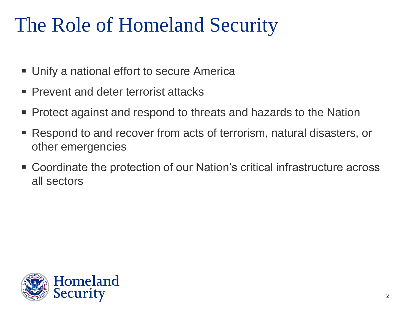## The Role of Homeland Security

- Unify a national effort to secure America
- Prevent and deter terrorist attacks
- Protect against and respond to threats and hazards to the Nation
- Respond to and recover from acts of terrorism, natural disasters, or other emergencies
- Coordinate the protection of our Nation's critical infrastructure across all sectors

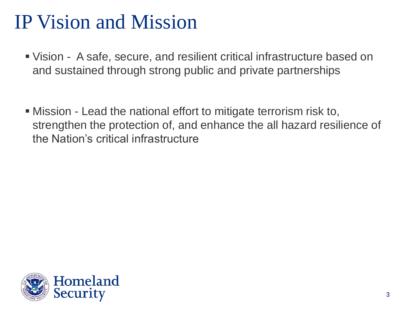#### IP Vision and Mission

- Vision A safe, secure, and resilient critical infrastructure based on and sustained through strong public and private partnerships
- Mission Lead the national effort to mitigate terrorism risk to, strengthen the protection of, and enhance the all hazard resilience of the Nation's critical infrastructure

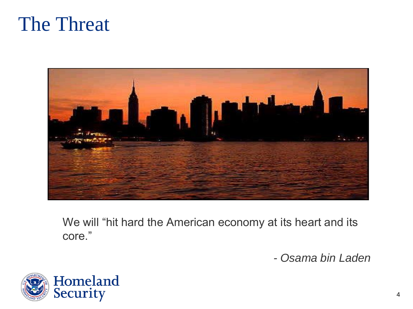



We will "hit hard the American economy at its heart and its core."

*- Osama bin Laden* 

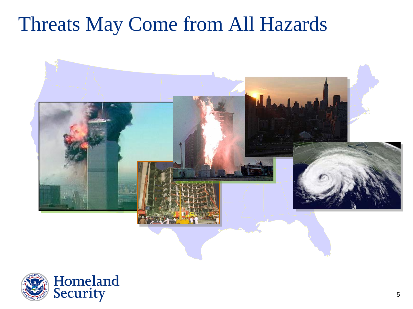#### Threats May Come from All Hazards *Threats May Come From All Hazards*



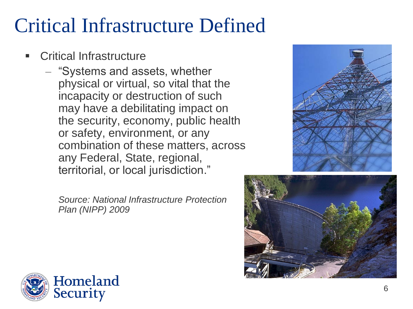#### Critical Infrastructure Defined

- Critical Infrastructure
	- "Systems and assets, whether physical or virtual, so vital that the incapacity or destruction of such may have a debilitating impact on the security, economy, public health or safety, environment, or any combination of these matters, across any Federal, State, regional, territorial, or local jurisdiction."

*Source: National Infrastructure Protection Plan (NIPP) 2009*





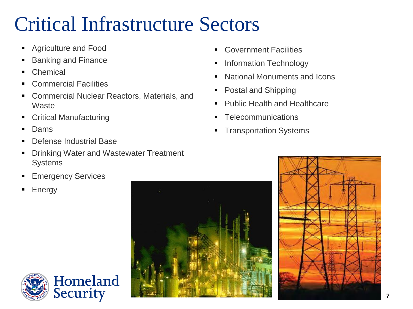#### Critical Infrastructure Sectors

- **Agriculture and Food**
- Banking and Finance
- Chemical
- Commercial Facilities
- Commercial Nuclear Reactors, Materials, and **Waste**
- Critical Manufacturing
- Dams
- Defense Industrial Base
- Drinking Water and Wastewater Treatment **Systems**

Homeland

**Security** 

- **Emergency Services**
- **Energy**
- **Government Facilities**
- **Information Technology**
- **National Monuments and Icons**
- **Postal and Shipping**
- **Public Health and Healthcare**
- **Telecommunications**
- **Transportation Systems**



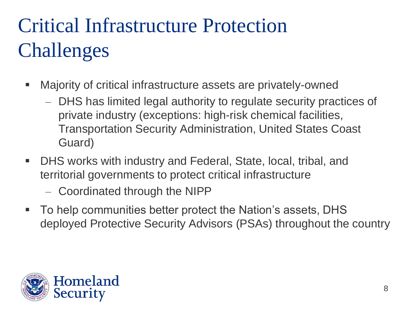## Critical Infrastructure Protection Challenges

- Majority of critical infrastructure assets are privately-owned
	- DHS has limited legal authority to regulate security practices of private industry (exceptions: high-risk chemical facilities, Transportation Security Administration, United States Coast Guard)
- DHS works with industry and Federal, State, local, tribal, and territorial governments to protect critical infrastructure
	- Coordinated through the NIPP
- To help communities better protect the Nation's assets, DHS deployed Protective Security Advisors (PSAs) throughout the country

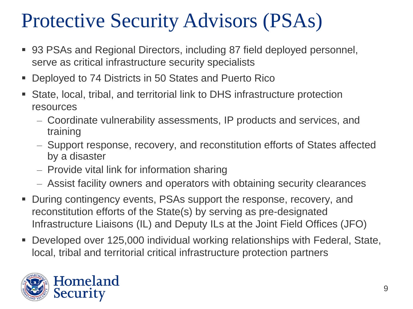## Protective Security Advisors (PSAs)

- 93 PSAs and Regional Directors, including 87 field deployed personnel, serve as critical infrastructure security specialists
- Deployed to 74 Districts in 50 States and Puerto Rico
- State, local, tribal, and territorial link to DHS infrastructure protection resources
	- Coordinate vulnerability assessments, IP products and services, and training
	- Support response, recovery, and reconstitution efforts of States affected by a disaster
	- Provide vital link for information sharing
	- Assist facility owners and operators with obtaining security clearances
- During contingency events, PSAs support the response, recovery, and reconstitution efforts of the State(s) by serving as pre-designated Infrastructure Liaisons (IL) and Deputy ILs at the Joint Field Offices (JFO)
- Developed over 125,000 individual working relationships with Federal, State, local, tribal and territorial critical infrastructure protection partners

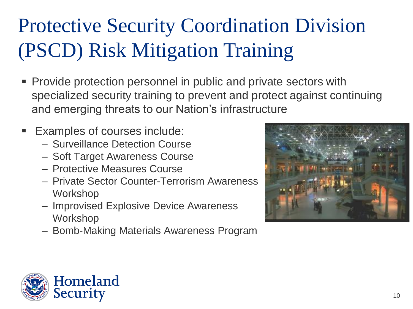## Protective Security Coordination Division (PSCD) Risk Mitigation Training

- **Provide protection personnel in public and private sectors with** specialized security training to prevent and protect against continuing and emerging threats to our Nation's infrastructure
- **Examples of courses include:** 
	- Surveillance Detection Course
	- Soft Target Awareness Course
	- Protective Measures Course
	- Private Sector Counter-Terrorism Awareness Workshop
	- Improvised Explosive Device Awareness Workshop
	- Bomb-Making Materials Awareness Program



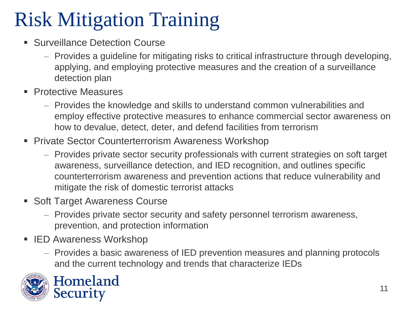## Risk Mitigation Training

- **Surveillance Detection Course** 
	- Provides a guideline for mitigating risks to critical infrastructure through developing, applying, and employing protective measures and the creation of a surveillance detection plan
- **Protective Measures** 
	- Provides the knowledge and skills to understand common vulnerabilities and employ effective protective measures to enhance commercial sector awareness on how to devalue, detect, deter, and defend facilities from terrorism
- **Private Sector Counterterrorism Awareness Workshop** 
	- Provides private sector security professionals with current strategies on soft target awareness, surveillance detection, and IED recognition, and outlines specific counterterrorism awareness and prevention actions that reduce vulnerability and mitigate the risk of domestic terrorist attacks
- Soft Target Awareness Course
	- Provides private sector security and safety personnel terrorism awareness, prevention, and protection information
- IED Awareness Workshop
	- Provides a basic awareness of IED prevention measures and planning protocols and the current technology and trends that characterize IEDs



Homeland Security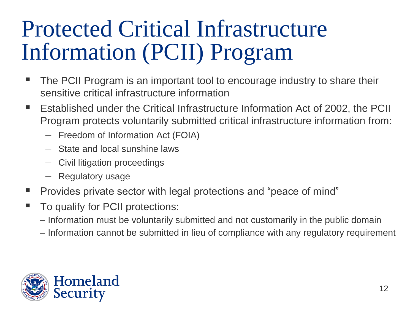# Protected Critical Infrastructure Information (PCII) Program

- The PCII Program is an important tool to encourage industry to share their sensitive critical infrastructure information
- Established under the Critical Infrastructure Information Act of 2002, the PCII Program protects voluntarily submitted critical infrastructure information from:
	- Freedom of Information Act (FOIA)
	- State and local sunshine laws
	- Civil litigation proceedings
	- Regulatory usage
- Provides private sector with legal protections and "peace of mind"
- To qualify for PCII protections:
	- Information must be voluntarily submitted and not customarily in the public domain
	- Information cannot be submitted in lieu of compliance with any regulatory requirement

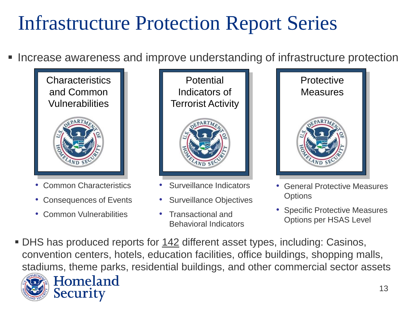### Infrastructure Protection Report Series

Increase awareness and improve understanding of infrastructure protection



- Common Characteristics
- Consequences of Events
- Common Vulnerabilities

Security

**Potential** Indicators of Terrorist Activity



- Surveillance Indicators
- Surveillance Objectives
- Transactional and Behavioral Indicators



- General Protective Measures **Options**
- Specific Protective Measures Options per HSAS Level
- DHS has produced reports for 142 different asset types, including: Casinos, convention centers, hotels, education facilities, office buildings, shopping malls, stadiums, theme parks, residential buildings, and other commercial sector assetsHomeland

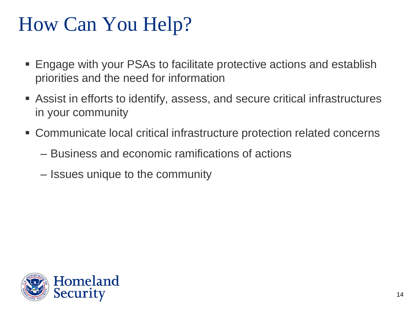### How Can You Help?

- Engage with your PSAs to facilitate protective actions and establish priorities and the need for information
- Assist in efforts to identify, assess, and secure critical infrastructures in your community
- Communicate local critical infrastructure protection related concerns
	- Business and economic ramifications of actions
	- Issues unique to the community